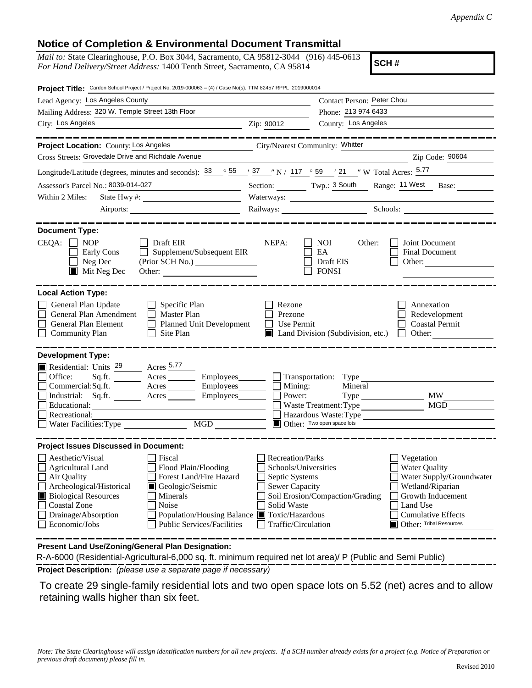## **Notice of Completion & Environmental Document Transmittal**

| <i>Mail to:</i> State Clearinghouse, P.O. Box 3044, Sacramento, CA 95812-3044 (916) 445-0613 |  |
|----------------------------------------------------------------------------------------------|--|
| For Hand Delivery/Street Address: 1400 Tenth Street, Sacramento, CA 95814                    |  |

**SCH #**

| Project Title: Carden School Project / Project No. 2019-000063 - (4) / Case No(s). TTM 82457 RPPL 2019000014                                                                                                                                                                                                                                                                          |                                                                                                                                  |                                                                                                                                                                                                         |  |
|---------------------------------------------------------------------------------------------------------------------------------------------------------------------------------------------------------------------------------------------------------------------------------------------------------------------------------------------------------------------------------------|----------------------------------------------------------------------------------------------------------------------------------|---------------------------------------------------------------------------------------------------------------------------------------------------------------------------------------------------------|--|
| Lead Agency: Los Angeles County                                                                                                                                                                                                                                                                                                                                                       | Contact Person: Peter Chou                                                                                                       |                                                                                                                                                                                                         |  |
| Mailing Address: 320 W. Temple Street 13th Floor                                                                                                                                                                                                                                                                                                                                      |                                                                                                                                  | Phone: 213 974 6433                                                                                                                                                                                     |  |
| City: Los Angeles<br><u> 1989 - Johann Barbara, martin amerikan basar dan berasal dalam basa dalam basar dalam basar dalam basa dalam</u>                                                                                                                                                                                                                                             | Zip: 90012                                                                                                                       | County: Los Angeles                                                                                                                                                                                     |  |
|                                                                                                                                                                                                                                                                                                                                                                                       |                                                                                                                                  |                                                                                                                                                                                                         |  |
| Project Location: County: Los Angeles                                                                                                                                                                                                                                                                                                                                                 | City/Nearest Community: Whitter                                                                                                  |                                                                                                                                                                                                         |  |
| Cross Streets: Grovedale Drive and Richdale Avenue                                                                                                                                                                                                                                                                                                                                    |                                                                                                                                  | Zip Code: 90604                                                                                                                                                                                         |  |
| Longitude/Latitude (degrees, minutes and seconds): $\frac{33}{55}$ $\frac{55}{7}$ $\frac{37}{7}$ $\frac{7}{7}$ N / 117 $\degree$ 59 $\degree$ / 21 $\degree$ W Total Acres: $\frac{5.77}{7}$                                                                                                                                                                                          |                                                                                                                                  |                                                                                                                                                                                                         |  |
| Assessor's Parcel No.: 8039-014-027<br><u> 1980 - Jan Stein Stein Stein Stein Stein Stein Stein Stein Stein Stein Stein Stein Stein Stein Stein Stein S</u>                                                                                                                                                                                                                           |                                                                                                                                  | Section: Twp.: 3 South Range: 11 West Base:                                                                                                                                                             |  |
| Within 2 Miles:                                                                                                                                                                                                                                                                                                                                                                       | Waterways:                                                                                                                       |                                                                                                                                                                                                         |  |
| Airports:                                                                                                                                                                                                                                                                                                                                                                             |                                                                                                                                  |                                                                                                                                                                                                         |  |
| <b>Document Type:</b><br>$CEQA: \Box NP$<br>$\Box$ Draft EIR<br>Supplement/Subsequent EIR<br>Early Cons<br>$\Box$ Neg Dec<br>(Prior SCH No.)<br>$\blacksquare$ Mit Neg Dec                                                                                                                                                                                                            | NEPA:                                                                                                                            | Joint Document<br><b>NOI</b><br>Other:<br>EA<br><b>Final Document</b><br>Draft EIS<br>Other:<br><b>FONSI</b>                                                                                            |  |
| <b>Local Action Type:</b><br>General Plan Update<br>$\Box$ Specific Plan<br>General Plan Amendment<br>$\Box$ Master Plan<br>General Plan Element<br>Planned Unit Development<br><b>Community Plan</b><br>Site Plan<br>$\mathbf{I}$                                                                                                                                                    | Rezone<br>Prezone<br>Use Permit<br>$\mathbf{L}$                                                                                  | Annexation<br>Redevelopment<br><b>Coastal Permit</b><br>$\blacksquare$ Land Division (Subdivision, etc.)<br>Other:<br>$\mathbf{1}$                                                                      |  |
| <b>Development Type:</b><br>Residential: Units <sup>29</sup> Acres 5.77<br>Office:                                                                                                                                                                                                                                                                                                    |                                                                                                                                  |                                                                                                                                                                                                         |  |
| Sq.ft. Acres Employees Transportation: Type<br>Commercial:Sq.ft. ________ Acres __________ Employees_________ $\Box$                                                                                                                                                                                                                                                                  | Mining:                                                                                                                          | Mineral                                                                                                                                                                                                 |  |
| Industrial: Sq.ft. _______ Acres ________ Employees________ $\Box$                                                                                                                                                                                                                                                                                                                    | Power:                                                                                                                           | <b>MW</b>                                                                                                                                                                                               |  |
| Educational:                                                                                                                                                                                                                                                                                                                                                                          |                                                                                                                                  | <b>MGD</b><br>Waste Treatment: Type                                                                                                                                                                     |  |
| Recreational:<br>MGD<br>Water Facilities: Type                                                                                                                                                                                                                                                                                                                                        |                                                                                                                                  | Hazardous Waste: Type<br>Other: Two open space lots                                                                                                                                                     |  |
|                                                                                                                                                                                                                                                                                                                                                                                       |                                                                                                                                  |                                                                                                                                                                                                         |  |
| <b>Project Issues Discussed in Document:</b>                                                                                                                                                                                                                                                                                                                                          |                                                                                                                                  |                                                                                                                                                                                                         |  |
| Aesthetic/Visual<br>Fiscal<br>$\Box$ Agricultural Land<br>Flood Plain/Flooding<br>$\Box$ Air Quality<br>Forest Land/Fire Hazard<br>Archeological/Historical<br>Geologic/Seismic<br><b>Biological Resources</b><br>Minerals<br><b>Coastal Zone</b><br>Noise<br>Drainage/Absorption<br>Population/Housing Balance Toxic/Hazardous<br>Economic/Jobs<br><b>Public Services/Facilities</b> | <b>Recreation/Parks</b><br>Schools/Universities<br>Septic Systems<br><b>Sewer Capacity</b><br>Solid Waste<br>Traffic/Circulation | Vegetation<br>Water Quality<br>Water Supply/Groundwater<br>Wetland/Riparian<br>Soil Erosion/Compaction/Grading<br>Growth Inducement<br>Land Use<br><b>Cumulative Effects</b><br>Other: Tribal Resources |  |
| <b>Procent Land Llse/Zening/Ceneral Plan Designation:</b>                                                                                                                                                                                                                                                                                                                             |                                                                                                                                  |                                                                                                                                                                                                         |  |

**Present Land Use/Zoning/General Plan Designation:**

**Project Description:** *(please use a separate page if necessary)* R-A-6000 (Residential-Agricultural-6,000 sq. ft. minimum required net lot area)/ P (Public and Semi Public)

 To create 29 single-family residential lots and two open space lots on 5.52 (net) acres and to allow retaining walls higher than six feet.